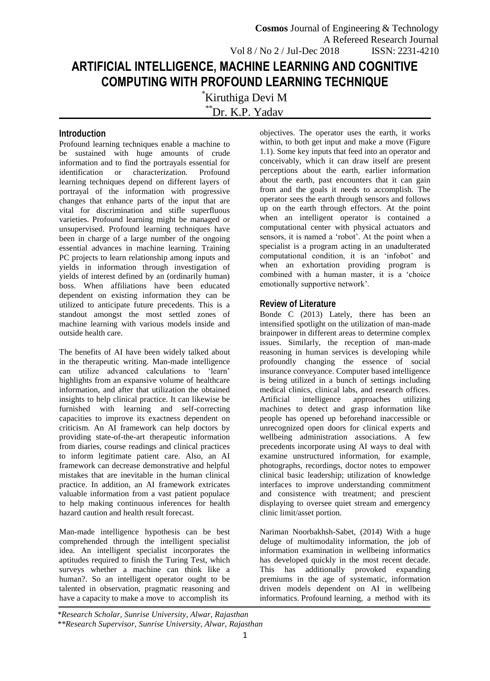# **ARTIFICIAL INTELLIGENCE, MACHINE LEARNING AND COGNITIVE COMPUTING WITH PROFOUND LEARNING TECHNIQUE**

\*Kiruthiga Devi M

\*\*Dr. K.P. Yadav

## **Introduction**

Profound learning techniques enable a machine to be sustained with huge amounts of crude information and to find the portrayals essential for identification or characterization. Profound learning techniques depend on different layers of portrayal of the information with progressive changes that enhance parts of the input that are vital for discrimination and stifle superfluous varieties. Profound learning might be managed or unsupervised. Profound learning techniques have been in charge of a large number of the ongoing essential advances in machine learning. Training PC projects to learn relationship among inputs and yields in information through investigation of yields of interest defined by an (ordinarily human) boss. When affiliations have been educated dependent on existing information they can be utilized to anticipate future precedents. This is a standout amongst the most settled zones of machine learning with various models inside and outside health care.

The benefits of AI have been widely talked about in the therapeutic writing. Man-made intelligence can utilize advanced calculations to 'learn' highlights from an expansive volume of healthcare information, and after that utilization the obtained insights to help clinical practice. It can likewise be furnished with learning and self-correcting capacities to improve its exactness dependent on criticism. An AI framework can help doctors by providing state-of-the-art therapeutic information from diaries, course readings and clinical practices to inform legitimate patient care. Also, an AI framework can decrease demonstrative and helpful mistakes that are inevitable in the human clinical practice. In addition, an AI framework extricates valuable information from a vast patient populace to help making continuous inferences for health hazard caution and health result forecast.

Man-made intelligence hypothesis can be best comprehended through the intelligent specialist idea. An intelligent specialist incorporates the aptitudes required to finish the Turing Test, which surveys whether a machine can think like a human?. So an intelligent operator ought to be talented in observation, pragmatic reasoning and have a capacity to make a move to accomplish its

objectives. The operator uses the earth, it works within, to both get input and make a move (Figure 1.1). Some key inputs that feed into an operator and conceivably, which it can draw itself are present perceptions about the earth, earlier information about the earth, past encounters that it can gain from and the goals it needs to accomplish. The operator sees the earth through sensors and follows up on the earth through effectors. At the point when an intelligent operator is contained a computational center with physical actuators and sensors, it is named a 'robot'. At the point when a specialist is a program acting in an unadulterated computational condition, it is an 'infobot' and when an exhortation providing program is combined with a human master, it is a 'choice emotionally supportive network'.

## **Review of Literature**

Bonde C (2013) Lately, there has been an intensified spotlight on the utilization of man-made brainpower in different areas to determine complex issues. Similarly, the reception of man-made reasoning in human services is developing while profoundly changing the essence of social insurance conveyance. Computer based intelligence is being utilized in a bunch of settings including medical clinics, clinical labs, and research offices. Artificial intelligence approaches utilizing machines to detect and grasp information like people has opened up beforehand inaccessible or unrecognized open doors for clinical experts and wellbeing administration associations. A few precedents incorporate using AI ways to deal with examine unstructured information, for example, photographs, recordings, doctor notes to empower clinical basic leadership; utilization of knowledge interfaces to improve understanding commitment and consistence with treatment; and prescient displaying to oversee quiet stream and emergency clinic limit/asset portion.

Nariman Noorbakhsh-Sabet, (2014) With a huge deluge of multimodality information, the job of information examination in wellbeing informatics has developed quickly in the most recent decade. This has additionally provoked expanding premiums in the age of systematic, information driven models dependent on AI in wellbeing informatics. Profound learning, a method with its

*\*Research Scholar, Sunrise University, Alwar, Rajasthan \*\*Research Supervisor, Sunrise University, Alwar, Rajasthan*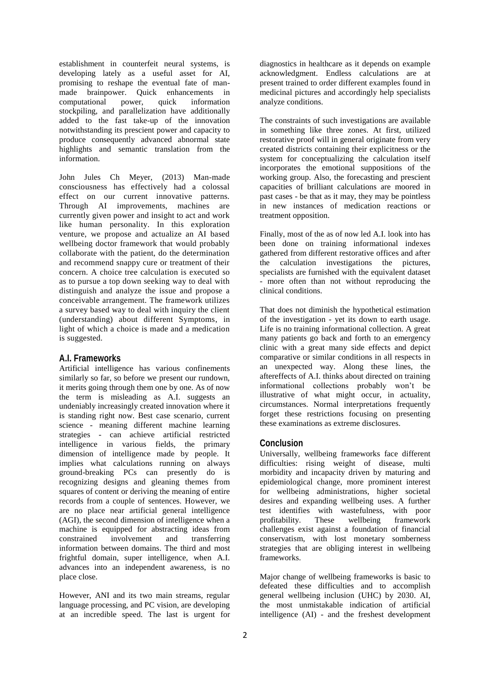establishment in counterfeit neural systems, is developing lately as a useful asset for AI, promising to reshape the eventual fate of manmade brainpower. Quick enhancements in computational power, quick information stockpiling, and parallelization have additionally added to the fast take-up of the innovation notwithstanding its prescient power and capacity to produce consequently advanced abnormal state highlights and semantic translation from the information.

John Jules Ch Meyer, (2013) Man-made consciousness has effectively had a colossal effect on our current innovative patterns. Through AI improvements, machines are currently given power and insight to act and work like human personality. In this exploration venture, we propose and actualize an AI based wellbeing doctor framework that would probably collaborate with the patient, do the determination and recommend snappy cure or treatment of their concern. A choice tree calculation is executed so as to pursue a top down seeking way to deal with distinguish and analyze the issue and propose a conceivable arrangement. The framework utilizes a survey based way to deal with inquiry the client (understanding) about different Symptoms, in light of which a choice is made and a medication is suggested.

### **A.I. Frameworks**

Artificial intelligence has various confinements similarly so far, so before we present our rundown, it merits going through them one by one. As of now the term is misleading as A.I. suggests an undeniably increasingly created innovation where it is standing right now. Best case scenario, current science - meaning different machine learning strategies - can achieve artificial restricted intelligence in various fields, the primary dimension of intelligence made by people. It implies what calculations running on always ground-breaking PCs can presently do is recognizing designs and gleaning themes from squares of content or deriving the meaning of entire records from a couple of sentences. However, we are no place near artificial general intelligence (AGI), the second dimension of intelligence when a machine is equipped for abstracting ideas from<br>constrained involvement and transferring constrained involvement and information between domains. The third and most frightful domain, super intelligence, when A.I. advances into an independent awareness, is no place close.

However, ANI and its two main streams, regular language processing, and PC vision, are developing at an incredible speed. The last is urgent for

diagnostics in healthcare as it depends on example acknowledgment. Endless calculations are at present trained to order different examples found in medicinal pictures and accordingly help specialists analyze conditions.

The constraints of such investigations are available in something like three zones. At first, utilized restorative proof will in general originate from very created districts containing their explicitness or the system for conceptualizing the calculation itself incorporates the emotional suppositions of the working group. Also, the forecasting and prescient capacities of brilliant calculations are moored in past cases - be that as it may, they may be pointless in new instances of medication reactions or treatment opposition.

Finally, most of the as of now led A.I. look into has been done on training informational indexes gathered from different restorative offices and after the calculation investigations the pictures, specialists are furnished with the equivalent dataset - more often than not without reproducing the clinical conditions.

That does not diminish the hypothetical estimation of the investigation - yet its down to earth usage. Life is no training informational collection. A great many patients go back and forth to an emergency clinic with a great many side effects and depict comparative or similar conditions in all respects in an unexpected way. Along these lines, the aftereffects of A.I. thinks about directed on training informational collections probably won't be illustrative of what might occur, in actuality, circumstances. Normal interpretations frequently forget these restrictions focusing on presenting these examinations as extreme disclosures.

## **Conclusion**

Universally, wellbeing frameworks face different difficulties: rising weight of disease, multi morbidity and incapacity driven by maturing and epidemiological change, more prominent interest for wellbeing administrations, higher societal desires and expanding wellbeing uses. A further test identifies with wastefulness, with poor profitability. These wellbeing framework challenges exist against a foundation of financial conservatism, with lost monetary somberness strategies that are obliging interest in wellbeing frameworks.

Major change of wellbeing frameworks is basic to defeated these difficulties and to accomplish general wellbeing inclusion (UHC) by 2030. AI, the most unmistakable indication of artificial intelligence (AI) - and the freshest development